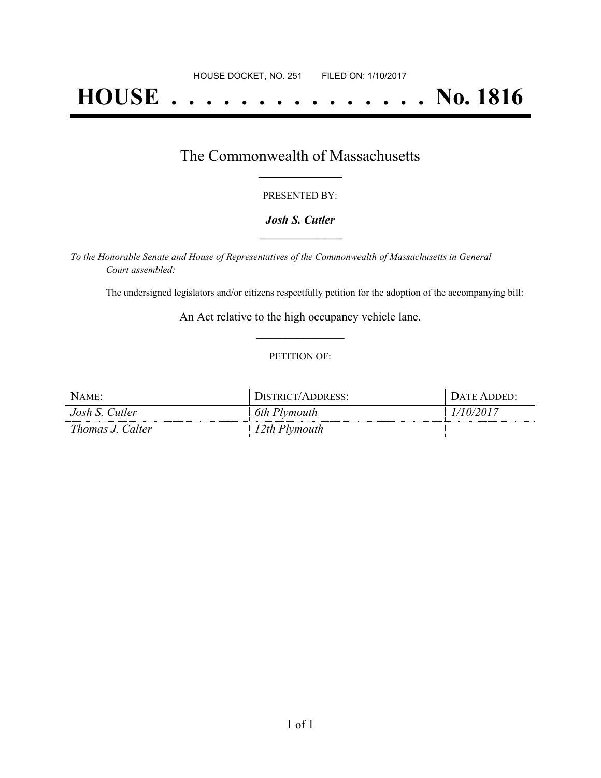# **HOUSE . . . . . . . . . . . . . . . No. 1816**

## The Commonwealth of Massachusetts **\_\_\_\_\_\_\_\_\_\_\_\_\_\_\_\_\_**

#### PRESENTED BY:

#### *Josh S. Cutler* **\_\_\_\_\_\_\_\_\_\_\_\_\_\_\_\_\_**

*To the Honorable Senate and House of Representatives of the Commonwealth of Massachusetts in General Court assembled:*

The undersigned legislators and/or citizens respectfully petition for the adoption of the accompanying bill:

An Act relative to the high occupancy vehicle lane. **\_\_\_\_\_\_\_\_\_\_\_\_\_\_\_**

#### PETITION OF:

| NAME:            | DISTRICT/ADDRESS: | DATE ADDED: |
|------------------|-------------------|-------------|
| Josh S. Cutler   | 6th Plymouth      | 1/10/2017   |
| Thomas J. Calter | 12th Plymouth     |             |